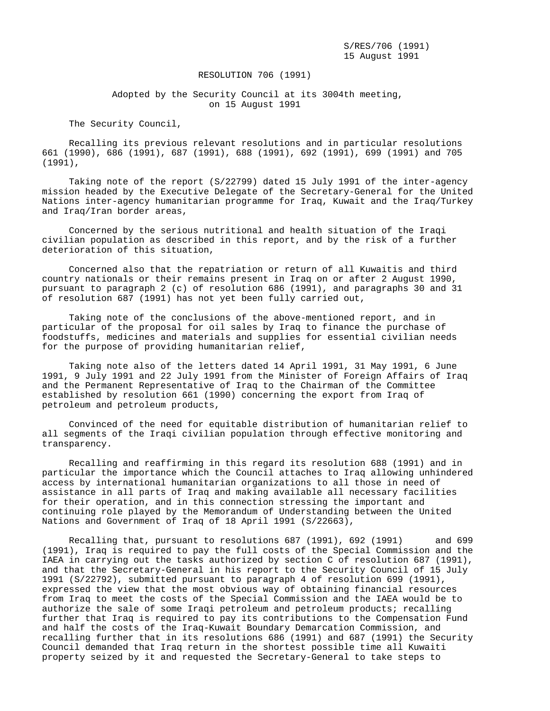S/RES/706 (1991) 15 August 1991

RESOLUTION 706 (1991)

 Adopted by the Security Council at its 3004th meeting, on 15 August 1991

The Security Council,

 Recalling its previous relevant resolutions and in particular resolutions 661 (1990), 686 (1991), 687 (1991), 688 (1991), 692 (1991), 699 (1991) and 705 (1991),

 Taking note of the report (S/22799) dated 15 July 1991 of the inter-agency mission headed by the Executive Delegate of the Secretary-General for the United Nations inter-agency humanitarian programme for Iraq, Kuwait and the Iraq/Turkey and Iraq/Iran border areas,

 Concerned by the serious nutritional and health situation of the Iraqi civilian population as described in this report, and by the risk of a further deterioration of this situation,

 Concerned also that the repatriation or return of all Kuwaitis and third country nationals or their remains present in Iraq on or after 2 August 1990, pursuant to paragraph 2 (c) of resolution 686 (1991), and paragraphs 30 and 31 of resolution 687 (1991) has not yet been fully carried out,

 Taking note of the conclusions of the above-mentioned report, and in particular of the proposal for oil sales by Iraq to finance the purchase of foodstuffs, medicines and materials and supplies for essential civilian needs for the purpose of providing humanitarian relief,

 Taking note also of the letters dated 14 April 1991, 31 May 1991, 6 June 1991, 9 July 1991 and 22 July 1991 from the Minister of Foreign Affairs of Iraq and the Permanent Representative of Iraq to the Chairman of the Committee established by resolution 661 (1990) concerning the export from Iraq of petroleum and petroleum products,

 Convinced of the need for equitable distribution of humanitarian relief to all segments of the Iraqi civilian population through effective monitoring and transparency.

 Recalling and reaffirming in this regard its resolution 688 (1991) and in particular the importance which the Council attaches to Iraq allowing unhindered access by international humanitarian organizations to all those in need of assistance in all parts of Iraq and making available all necessary facilities for their operation, and in this connection stressing the important and continuing role played by the Memorandum of Understanding between the United Nations and Government of Iraq of 18 April 1991 (S/22663),

 Recalling that, pursuant to resolutions 687 (1991), 692 (1991) and 699 (1991), Iraq is required to pay the full costs of the Special Commission and the IAEA in carrying out the tasks authorized by section C of resolution 687 (1991), and that the Secretary-General in his report to the Security Council of 15 July 1991 (S/22792), submitted pursuant to paragraph 4 of resolution 699 (1991), expressed the view that the most obvious way of obtaining financial resources from Iraq to meet the costs of the Special Commission and the IAEA would be to authorize the sale of some Iraqi petroleum and petroleum products; recalling further that Iraq is required to pay its contributions to the Compensation Fund and half the costs of the Iraq-Kuwait Boundary Demarcation Commission, and recalling further that in its resolutions 686 (1991) and 687 (1991) the Security Council demanded that Iraq return in the shortest possible time all Kuwaiti property seized by it and requested the Secretary-General to take steps to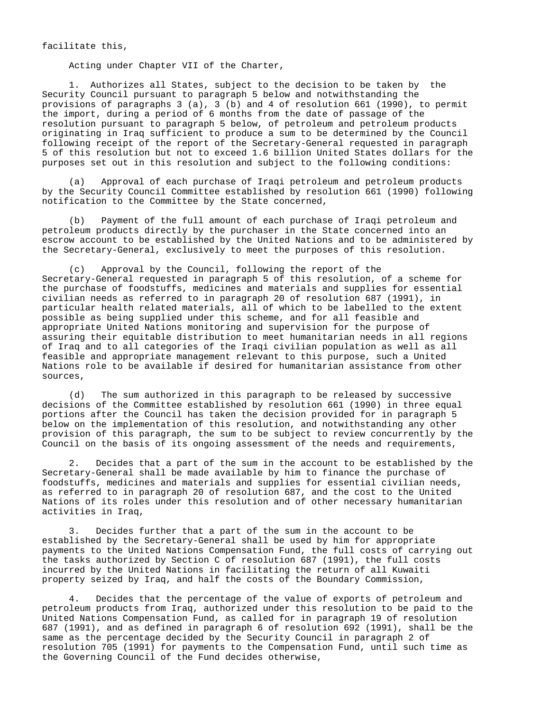facilitate this,

Acting under Chapter VII of the Charter,

 1. Authorizes all States, subject to the decision to be taken by the Security Council pursuant to paragraph 5 below and notwithstanding the provisions of paragraphs 3 (a), 3 (b) and 4 of resolution 661 (1990), to permit the import, during a period of 6 months from the date of passage of the resolution pursuant to paragraph 5 below, of petroleum and petroleum products originating in Iraq sufficient to produce a sum to be determined by the Council following receipt of the report of the Secretary-General requested in paragraph 5 of this resolution but not to exceed 1.6 billion United States dollars for the purposes set out in this resolution and subject to the following conditions:

 (a) Approval of each purchase of Iraqi petroleum and petroleum products by the Security Council Committee established by resolution 661 (1990) following notification to the Committee by the State concerned,

 (b) Payment of the full amount of each purchase of Iraqi petroleum and petroleum products directly by the purchaser in the State concerned into an escrow account to be established by the United Nations and to be administered by the Secretary-General, exclusively to meet the purposes of this resolution.

 (c) Approval by the Council, following the report of the Secretary-General requested in paragraph 5 of this resolution, of a scheme for the purchase of foodstuffs, medicines and materials and supplies for essential civilian needs as referred to in paragraph 20 of resolution 687 (1991), in particular health related materials, all of which to be labelled to the extent possible as being supplied under this scheme, and for all feasible and appropriate United Nations monitoring and supervision for the purpose of assuring their equitable distribution to meet humanitarian needs in all regions of Iraq and to all categories of the Iraqi civilian population as well as all feasible and appropriate management relevant to this purpose, such a United Nations role to be available if desired for humanitarian assistance from other sources,

 (d) The sum authorized in this paragraph to be released by successive decisions of the Committee established by resolution 661 (1990) in three equal portions after the Council has taken the decision provided for in paragraph 5 below on the implementation of this resolution, and notwithstanding any other provision of this paragraph, the sum to be subject to review concurrently by the Council on the basis of its ongoing assessment of the needs and requirements,

 2. Decides that a part of the sum in the account to be established by the Secretary-General shall be made available by him to finance the purchase of foodstuffs, medicines and materials and supplies for essential civilian needs, as referred to in paragraph 20 of resolution 687, and the cost to the United Nations of its roles under this resolution and of other necessary humanitarian activities in Iraq,

 3. Decides further that a part of the sum in the account to be established by the Secretary-General shall be used by him for appropriate payments to the United Nations Compensation Fund, the full costs of carrying out the tasks authorized by Section C of resolution 687 (1991), the full costs incurred by the United Nations in facilitating the return of all Kuwaiti property seized by Iraq, and half the costs of the Boundary Commission,

 4. Decides that the percentage of the value of exports of petroleum and petroleum products from Iraq, authorized under this resolution to be paid to the United Nations Compensation Fund, as called for in paragraph 19 of resolution 687 (1991), and as defined in paragraph 6 of resolution 692 (1991), shall be the same as the percentage decided by the Security Council in paragraph 2 of resolution 705 (1991) for payments to the Compensation Fund, until such time as the Governing Council of the Fund decides otherwise,